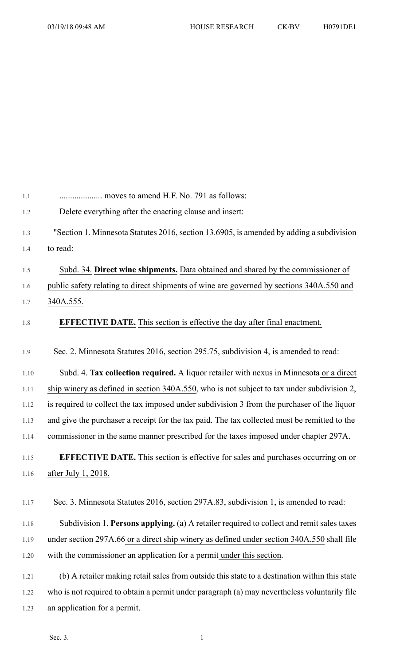| $1.1\,$ |                                                                                               |
|---------|-----------------------------------------------------------------------------------------------|
| 1.2     | Delete everything after the enacting clause and insert:                                       |
| 1.3     | "Section 1. Minnesota Statutes 2016, section 13.6905, is amended by adding a subdivision      |
| 1.4     | to read:                                                                                      |
|         |                                                                                               |
| 1.5     | Subd. 34. Direct wine shipments. Data obtained and shared by the commissioner of              |
| 1.6     | public safety relating to direct shipments of wine are governed by sections 340A.550 and      |
| 1.7     | 340A.555.                                                                                     |
| 1.8     | <b>EFFECTIVE DATE.</b> This section is effective the day after final enactment.               |
| 1.9     | Sec. 2. Minnesota Statutes 2016, section 295.75, subdivision 4, is amended to read:           |
| 1.10    | Subd. 4. Tax collection required. A liquor retailer with nexus in Minnesota or a direct       |
| 1.11    | ship winery as defined in section 340A.550, who is not subject to tax under subdivision 2,    |
| 1.12    | is required to collect the tax imposed under subdivision 3 from the purchaser of the liquor   |
| 1.13    | and give the purchaser a receipt for the tax paid. The tax collected must be remitted to the  |
| 1.14    | commissioner in the same manner prescribed for the taxes imposed under chapter 297A.          |
| 1.15    | EFFECTIVE DATE. This section is effective for sales and purchases occurring on or             |
| 1.16    | after July 1, 2018.                                                                           |
|         |                                                                                               |
| 1.17    | Sec. 3. Minnesota Statutes 2016, section 297A.83, subdivision 1, is amended to read:          |
| 1.18    | Subdivision 1. Persons applying. (a) A retailer required to collect and remit sales taxes     |
| 1.19    | under section 297A.66 or a direct ship winery as defined under section 340A.550 shall file    |
| 1.20    | with the commissioner an application for a permit under this section.                         |
| 1.21    | (b) A retailer making retail sales from outside this state to a destination within this state |
| 1.22    | who is not required to obtain a permit under paragraph (a) may nevertheless voluntarily file  |
|         |                                                                                               |
| 1.23    | an application for a permit.                                                                  |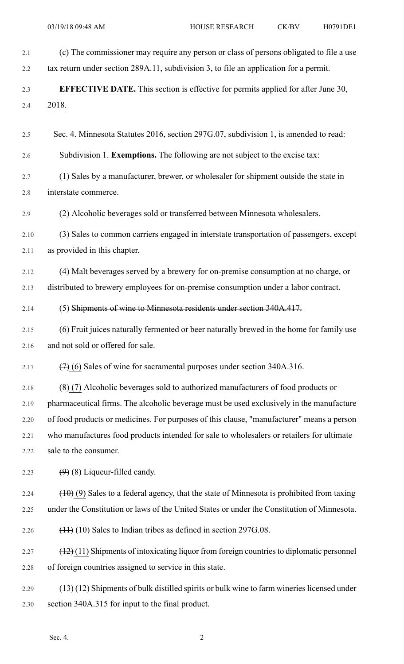| 2.1  | (c) The commissioner may require any person or class of persons obligated to file a use     |
|------|---------------------------------------------------------------------------------------------|
| 2.2  | tax return under section 289A.11, subdivision 3, to file an application for a permit.       |
| 2.3  | <b>EFFECTIVE DATE.</b> This section is effective for permits applied for after June 30,     |
| 2.4  | 2018.                                                                                       |
| 2.5  | Sec. 4. Minnesota Statutes 2016, section 297G.07, subdivision 1, is amended to read:        |
| 2.6  | Subdivision 1. Exemptions. The following are not subject to the excise tax:                 |
| 2.7  | (1) Sales by a manufacturer, brewer, or wholesaler for shipment outside the state in        |
| 2.8  | interstate commerce.                                                                        |
| 2.9  | (2) Alcoholic beverages sold or transferred between Minnesota wholesalers.                  |
| 2.10 | (3) Sales to common carriers engaged in interstate transportation of passengers, except     |
| 2.11 | as provided in this chapter.                                                                |
| 2.12 | (4) Malt beverages served by a brewery for on-premise consumption at no charge, or          |
| 2.13 | distributed to brewery employees for on-premise consumption under a labor contract.         |
| 2.14 | (5) Shipments of wine to Minnesota residents under section 340A.417.                        |
| 2.15 | $(6)$ Fruit juices naturally fermented or beer naturally brewed in the home for family use  |
| 2.16 | and not sold or offered for sale.                                                           |
| 2.17 | $(7)$ (6) Sales of wine for sacramental purposes under section 340A.316.                    |
| 2.18 | $(8)$ (7) Alcoholic beverages sold to authorized manufacturers of food products or          |
| 2.19 | pharmaceutical firms. The alcoholic beverage must be used exclusively in the manufacture    |
| 2.20 | of food products or medicines. For purposes of this clause, "manufacturer" means a person   |
| 2.21 | who manufactures food products intended for sale to wholesalers or retailers for ultimate   |
| 2.22 | sale to the consumer.                                                                       |
| 2.23 | $(9)$ (8) Liqueur-filled candy.                                                             |
| 2.24 | $(10)$ (9) Sales to a federal agency, that the state of Minnesota is prohibited from taxing |
| 2.25 | under the Constitution or laws of the United States or under the Constitution of Minnesota. |
| 2.26 | $(11)$ (10) Sales to Indian tribes as defined in section 297G.08.                           |
| 2.27 | $(12)(11)$ Shipments of intoxicating liquor from foreign countries to diplomatic personnel  |
| 2.28 | of foreign countries assigned to service in this state.                                     |
| 2.29 | $(13)(12)$ Shipments of bulk distilled spirits or bulk wine to farm wineries licensed under |
| 2.30 | section 340A.315 for input to the final product.                                            |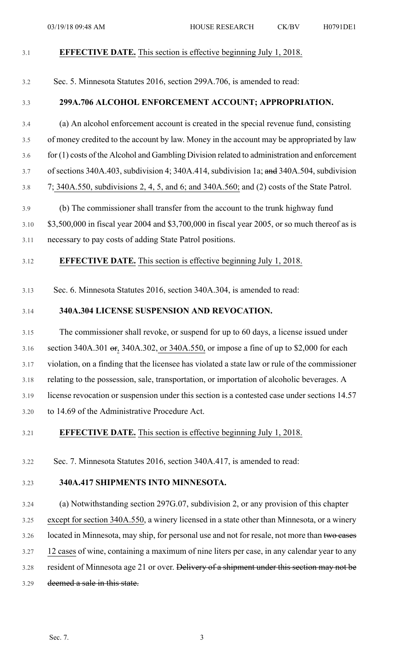| 3.1     | <b>EFFECTIVE DATE.</b> This section is effective beginning July 1, 2018.                                   |
|---------|------------------------------------------------------------------------------------------------------------|
| 3.2     | Sec. 5. Minnesota Statutes 2016, section 299A.706, is amended to read:                                     |
| 3.3     | 299A.706 ALCOHOL ENFORCEMENT ACCOUNT; APPROPRIATION.                                                       |
| 3.4     | (a) An alcohol enforcement account is created in the special revenue fund, consisting                      |
| 3.5     | of money credited to the account by law. Money in the account may be appropriated by law                   |
| 3.6     | for (1) costs of the Alcohol and Gambling Division related to administration and enforcement               |
| 3.7     | of sections $340A.403$ , subdivision 4; $340A.414$ , subdivision 1a; and $340A.504$ , subdivision          |
| $3.8\,$ | 7; 340A.550, subdivisions 2, 4, 5, and 6; and 340A.560; and (2) costs of the State Patrol.                 |
| 3.9     | (b) The commissioner shall transfer from the account to the trunk highway fund                             |
| 3.10    | \$3,500,000 in fiscal year 2004 and \$3,700,000 in fiscal year 2005, or so much thereof as is              |
| 3.11    | necessary to pay costs of adding State Patrol positions.                                                   |
| 3.12    | <b>EFFECTIVE DATE.</b> This section is effective beginning July 1, 2018.                                   |
| 3.13    | Sec. 6. Minnesota Statutes 2016, section 340A.304, is amended to read:                                     |
| 3.14    | 340A.304 LICENSE SUSPENSION AND REVOCATION.                                                                |
| 3.15    | The commissioner shall revoke, or suspend for up to 60 days, a license issued under                        |
| 3.16    | section 340A.301 $\sigma$ F <sub>2</sub> 340A.302, or 340A.550, or impose a fine of up to \$2,000 for each |
| 3.17    | violation, on a finding that the licensee has violated a state law or rule of the commissioner             |
| 3.18    | relating to the possession, sale, transportation, or importation of alcoholic beverages. A                 |
| 3.19    | license revocation or suspension under this section is a contested case under sections 14.57               |
| 3.20    | to 14.69 of the Administrative Procedure Act.                                                              |
| 3.21    | <b>EFFECTIVE DATE.</b> This section is effective beginning July 1, 2018.                                   |
| 3.22    | Sec. 7. Minnesota Statutes 2016, section 340A.417, is amended to read:                                     |
| 3.23    | 340A.417 SHIPMENTS INTO MINNESOTA.                                                                         |
| 3.24    | (a) Notwithstanding section 297G.07, subdivision 2, or any provision of this chapter                       |
| 3.25    | except for section 340A.550, a winery licensed in a state other than Minnesota, or a winery                |
| 3.26    | located in Minnesota, may ship, for personal use and not for resale, not more than two cases               |

3.27 12 cases of wine, containing a maximum of nine liters per case, in any calendar year to any

- 3.28 resident of Minnesota age 21 or over. Delivery of a shipment under this section may not be
- 3.29 deemed a sale in this state.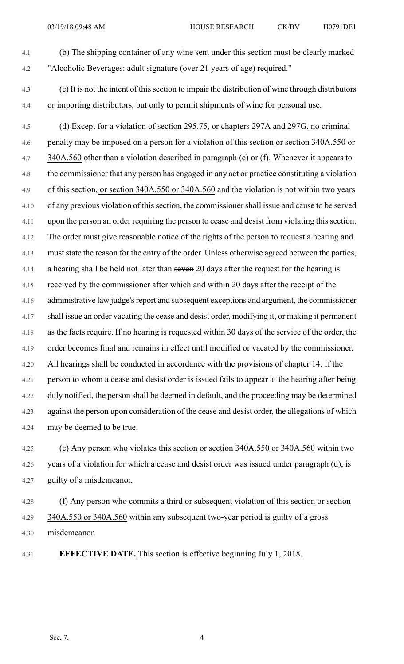4.1 (b) The shipping container of any wine sent under this section must be clearly marked 4.2 "Alcoholic Beverages: adult signature (over 21 years of age) required."

- 4.3 (c) It is not the intent of thissection to impair the distribution of wine through distributors 4.4 or importing distributors, but only to permit shipments of wine for personal use.
- 4.5 (d) Except for a violation of section 295.75, or chapters 297A and 297G, no criminal 4.6 penalty may be imposed on a person for a violation of this section or section 340A.550 or 4.7 340A.560 other than a violation described in paragraph (e) or (f). Whenever it appears to 4.8 the commissioner that any person has engaged in any act or practice constituting a violation 4.9 of this section, or section 340A.550 or 340A.560 and the violation is not within two years 4.10 of any previous violation of thissection, the commissionershall issue and cause to be served 4.11 upon the person an order requiring the person to cease and desist from violating thissection. 4.12 The order must give reasonable notice of the rights of the person to request a hearing and 4.13 muststate the reason for the entry of the order. Unless otherwise agreed between the parties, 4.14 a hearing shall be held not later than seven 20 days after the request for the hearing is 4.15 received by the commissioner after which and within 20 days after the receipt of the 4.16 administrative law judge's report and subsequent exceptions and argument, the commissioner 4.17 shall issue an order vacating the cease and desist order, modifying it, or making it permanent 4.18 as the facts require. If no hearing is requested within 30 days of the service of the order, the 4.19 order becomes final and remains in effect until modified or vacated by the commissioner. 4.20 All hearings shall be conducted in accordance with the provisions of chapter 14. If the 4.21 person to whom a cease and desist order is issued fails to appear at the hearing after being 4.22 duly notified, the person shall be deemed in default, and the proceeding may be determined 4.23 against the person upon consideration of the cease and desist order, the allegations of which 4.24 may be deemed to be true.
- 4.25 (e) Any person who violates this section or section 340A.550 or 340A.560 within two 4.26 years of a violation for which a cease and desist order was issued under paragraph (d), is 4.27 guilty of a misdemeanor.
- 4.28 (f) Any person who commits a third or subsequent violation of this section or section 4.29 340A.550 or 340A.560 within any subsequent two-year period is guilty of a gross 4.30 misdemeanor.
- 

4.31 **EFFECTIVE DATE.** This section is effective beginning July 1, 2018.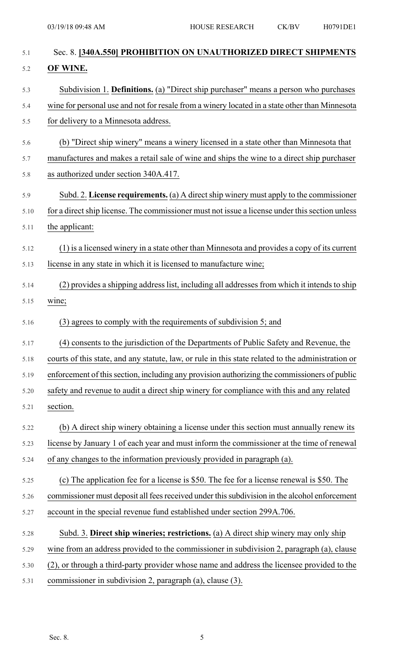| 5.1  | Sec. 8. [340A.550] PROHIBITION ON UNAUTHORIZED DIRECT SHIPMENTS                                    |
|------|----------------------------------------------------------------------------------------------------|
| 5.2  | OF WINE.                                                                                           |
| 5.3  | Subdivision 1. Definitions. (a) "Direct ship purchaser" means a person who purchases               |
| 5.4  | wine for personal use and not for resale from a winery located in a state other than Minnesota     |
| 5.5  | for delivery to a Minnesota address.                                                               |
| 5.6  | (b) "Direct ship winery" means a winery licensed in a state other than Minnesota that              |
| 5.7  | manufactures and makes a retail sale of wine and ships the wine to a direct ship purchaser         |
| 5.8  | as authorized under section 340A.417.                                                              |
| 5.9  | Subd. 2. License requirements. (a) A direct ship winery must apply to the commissioner             |
| 5.10 | for a direct ship license. The commissioner must not issue a license under this section unless     |
| 5.11 | the applicant:                                                                                     |
| 5.12 | (1) is a licensed winery in a state other than Minnesota and provides a copy of its current        |
| 5.13 | license in any state in which it is licensed to manufacture wine;                                  |
| 5.14 | (2) provides a shipping address list, including all addresses from which it intends to ship        |
| 5.15 | wine;                                                                                              |
| 5.16 | (3) agrees to comply with the requirements of subdivision 5; and                                   |
| 5.17 | (4) consents to the jurisdiction of the Departments of Public Safety and Revenue, the              |
| 5.18 | courts of this state, and any statute, law, or rule in this state related to the administration or |
| 5.19 | enforcement of this section, including any provision authorizing the commissioners of public       |
| 5.20 | safety and revenue to audit a direct ship winery for compliance with this and any related          |
| 5.21 | section.                                                                                           |
| 5.22 | (b) A direct ship winery obtaining a license under this section must annually renew its            |
| 5.23 | license by January 1 of each year and must inform the commissioner at the time of renewal          |
| 5.24 | of any changes to the information previously provided in paragraph (a).                            |
| 5.25 | (c) The application fee for a license is \$50. The fee for a license renewal is \$50. The          |
| 5.26 | commissioner must deposit all fees received under this subdivision in the alcohol enforcement      |
| 5.27 | account in the special revenue fund established under section 299A.706.                            |
| 5.28 | Subd. 3. Direct ship wineries; restrictions. (a) A direct ship winery may only ship                |
| 5.29 | wine from an address provided to the commissioner in subdivision 2, paragraph (a), clause          |
| 5.30 | (2), or through a third-party provider whose name and address the licensee provided to the         |
| 5.31 | commissioner in subdivision 2, paragraph (a), clause (3).                                          |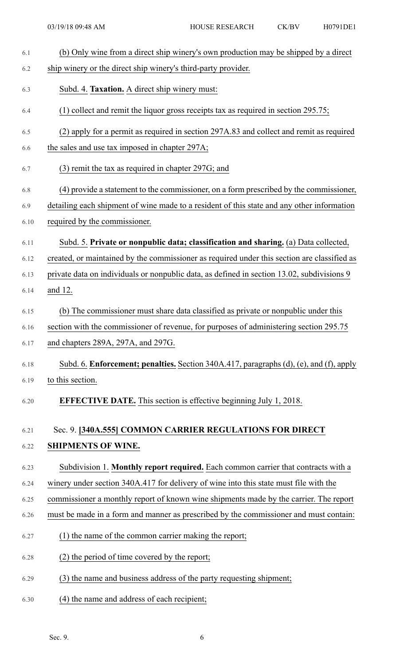| 6.1  | (b) Only wine from a direct ship winery's own production may be shipped by a direct         |
|------|---------------------------------------------------------------------------------------------|
| 6.2  | ship winery or the direct ship winery's third-party provider.                               |
| 6.3  | Subd. 4. Taxation. A direct ship winery must:                                               |
| 6.4  | (1) collect and remit the liquor gross receipts tax as required in section $295.75$ ;       |
| 6.5  | (2) apply for a permit as required in section 297A.83 and collect and remit as required     |
| 6.6  | the sales and use tax imposed in chapter 297A;                                              |
| 6.7  | $(3)$ remit the tax as required in chapter 297G; and                                        |
| 6.8  | (4) provide a statement to the commissioner, on a form prescribed by the commissioner,      |
| 6.9  | detailing each shipment of wine made to a resident of this state and any other information  |
| 6.10 | required by the commissioner.                                                               |
| 6.11 | Subd. 5. Private or nonpublic data; classification and sharing. (a) Data collected,         |
| 6.12 | created, or maintained by the commissioner as required under this section are classified as |
| 6.13 | private data on individuals or nonpublic data, as defined in section 13.02, subdivisions 9  |
| 6.14 | and 12.                                                                                     |
| 6.15 | (b) The commissioner must share data classified as private or nonpublic under this          |
| 6.16 | section with the commissioner of revenue, for purposes of administering section 295.75      |
| 6.17 | and chapters 289A, 297A, and 297G.                                                          |
| 6.18 | Subd. 6. Enforcement; penalties. Section 340A.417, paragraphs (d), (e), and (f), apply      |
| 6.19 | to this section.                                                                            |
| 6.20 | <b>EFFECTIVE DATE.</b> This section is effective beginning July 1, 2018.                    |
| 6.21 | Sec. 9. [340A.555] COMMON CARRIER REGULATIONS FOR DIRECT                                    |
| 6.22 | <b>SHIPMENTS OF WINE.</b>                                                                   |
| 6.23 | Subdivision 1. Monthly report required. Each common carrier that contracts with a           |
| 6.24 | winery under section 340A.417 for delivery of wine into this state must file with the       |
| 6.25 | commissioner a monthly report of known wine shipments made by the carrier. The report       |
| 6.26 | must be made in a form and manner as prescribed by the commissioner and must contain:       |
| 6.27 | (1) the name of the common carrier making the report;                                       |
| 6.28 | (2) the period of time covered by the report;                                               |
| 6.29 | (3) the name and business address of the party requesting shipment;                         |
| 6.30 | (4) the name and address of each recipient;                                                 |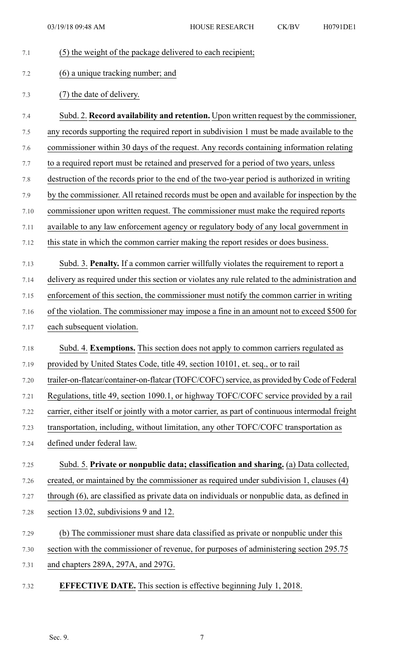| 7.1  | (5) the weight of the package delivered to each recipient;                                       |
|------|--------------------------------------------------------------------------------------------------|
| 7.2  | (6) a unique tracking number; and                                                                |
| 7.3  | (7) the date of delivery.                                                                        |
| 7.4  | Subd. 2. Record availability and retention. Upon written request by the commissioner,            |
| 7.5  | any records supporting the required report in subdivision 1 must be made available to the        |
| 7.6  | commissioner within 30 days of the request. Any records containing information relating          |
| 7.7  | to a required report must be retained and preserved for a period of two years, unless            |
| 7.8  | destruction of the records prior to the end of the two-year period is authorized in writing      |
| 7.9  | by the commissioner. All retained records must be open and available for inspection by the       |
| 7.10 | commissioner upon written request. The commissioner must make the required reports               |
| 7.11 | available to any law enforcement agency or regulatory body of any local government in            |
| 7.12 | this state in which the common carrier making the report resides or does business.               |
| 7.13 | Subd. 3. Penalty. If a common carrier willfully violates the requirement to report a             |
| 7.14 | delivery as required under this section or violates any rule related to the administration and   |
| 7.15 | enforcement of this section, the commissioner must notify the common carrier in writing          |
| 7.16 | of the violation. The commissioner may impose a fine in an amount not to exceed \$500 for        |
| 7.17 | each subsequent violation.                                                                       |
| 7.18 | Subd. 4. Exemptions. This section does not apply to common carriers regulated as                 |
| 7.19 | provided by United States Code, title 49, section 10101, et. seq., or to rail                    |
| 7.20 | trailer-on-flatcar/container-on-flatcar (TOFC/COFC) service, as provided by Code of Federal      |
| 7.21 | Regulations, title 49, section 1090.1, or highway TOFC/COFC service provided by a rail           |
| 7.22 | carrier, either itself or jointly with a motor carrier, as part of continuous intermodal freight |
| 7.23 | transportation, including, without limitation, any other TOFC/COFC transportation as             |
| 7.24 | defined under federal law.                                                                       |
| 7.25 | Subd. 5. Private or nonpublic data; classification and sharing. (a) Data collected,              |
| 7.26 | created, or maintained by the commissioner as required under subdivision 1, clauses (4)          |
| 7.27 | through (6), are classified as private data on individuals or nonpublic data, as defined in      |
| 7.28 | section 13.02, subdivisions 9 and 12.                                                            |
| 7.29 | (b) The commissioner must share data classified as private or nonpublic under this               |
| 7.30 | section with the commissioner of revenue, for purposes of administering section 295.75           |
| 7.31 | and chapters 289A, 297A, and 297G.                                                               |
| 7.32 | <b>EFFECTIVE DATE.</b> This section is effective beginning July 1, 2018.                         |